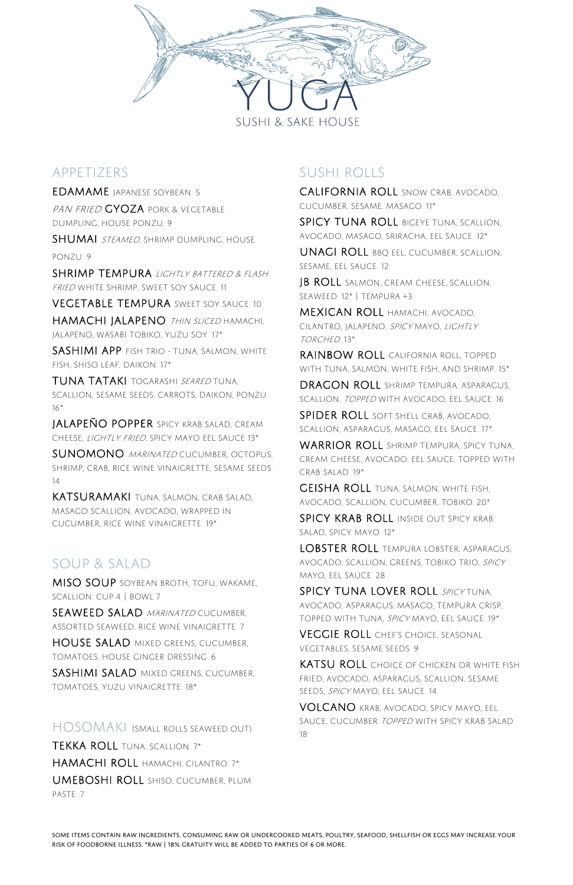Some items Contain raw ingredients. Consuming raw or undercooked meats, poultry, seafood, shellfish or eggs may increase your risk of foodborne illness. \*Raw | 18% Gratuity will be added to parties of 6 or more.

PAN FRIED GYOZA PORK & VEGETABLE dumpling, house ponzu. 9

SHUMAI STEAMED, SHRIMP DUMPLING, HOUSE ponzu. 9



### Appetizers

SHRIMP TEMPURA LIGHTLY BATTERED & FLASH fried white shrimp, sweet soy Sauce. 11

VEGETABLE TEMPURA SWEET SOY SAUCE. 10

Edamame Japanese soybean. 5

HAMACHI JALAPENO THIN SLICED HAMACHI, jalapeno, wasabi tobiko, yuzu soy. 17\*

SASHIMI APP FISH TRIO - TUNA, SALMON, WHITE fish, shiso leaf, daikon. 17\*

TUNA TATAKI TOGARASHI SEARED TUNA, scallion, sesame seeds, carrots, daikon, ponzu. 16\*

SUNOMONO MARINATED CUCUMBER, OCTOPUS, shrimp, crab, rice wine vinaigrette, sesame seeds. 14

MISO SOUP SOYBEAN BROTH, TOFU, WAKAME, scallion. Cup 4 | bowl 7

SEAWEED SALAD MARINATED CUCUMBER, assorted seaweed, rice wine vinaigrette. 7

HOUSE SALAD MIXED GREENS, CUCUMBER,

SASHIMI SALAD MIXED GREENS, CUCUMBER, tomatoes, yuzu vinaigrette. 18\*

Jalapeño Popper Spicy Krab Salad, Cream Cheese, lightly Fried, Spicy mayo eel Sauce 13\*

SPICY TUNA ROLL BIGEYE TUNA, SCALLION, avocado, masago, Sriracha, eel sauce. 12\*

JB ROLL SALMON, CREAM CHEESE, SCALLION, seaweed. 12\* | Tempura +3

Mexican Roll Hamachi, avocado, cilantro, jalapeno, spicy mayo, lightly TORCHED. 13\*

Katsuramaki Tuna, salmon, crab salad, masago scallion, avocado, wrapped in cucumber, rice wine vinaigrette. 19\*

RAINBOW ROLL CALIFORNIA ROLL, TOPPED with tuna, salmon, white fish, and shrimp. 15\*

DRAGON ROLL SHRIMP TEMPURA, ASPARAGUS, scallion, topped with avocado, eel sauce. 16

## Soup & Salad

SPIDER ROLL SOFT SHELL CRAB, AVOCADO, scallion, asparagus, masago, eel sauce. 17\*

WARRIOR ROLL SHRIMP TEMPURA, SPICY TUNA, cream cheese, avocado, eel sauce, topped with crab salad. 19\*

SPICY KRAB ROLL INSIDE OUT SPICY KRAB salad, spicy mayo. 12\*

LOBSTER ROLL TEMPURA LOBSTER, ASPARAGUS, avocado, scallion, Greens, tobiko trio, spicy mayo, eel sauce. 28

tomatoes, House ginger dressing. 6

SPICY TUNA LOVER ROLL SPICY TUNA. avocado, asparagus, masago, tempura crisp, topped with tuna, spicy mayo, eel sauce. 19\*

VEGGIE ROLL CHEF'S CHOICE, SEASONAL vegetables, sesame seeds. 9

Hosomaki (Small rolls seaweed out) Tekka Roll Tuna, scallion. 7\* Hamachi Roll Hamachi, cilantro. 7\* UMEBOSHI ROLL SHISO, CUCUMBER, PLUM paste. 7

KATSU ROLL CHOICE OF CHICKEN OR WHITE FISH

# SUSHI ROLLS

California Roll Snow crab, avocado, cucumber, sesame, masago. 11\*

Unagi Roll BBQ eel, cucumber, scallion, sesame, eel sauce. 12

Geisha Roll Tuna, salmon, white fish, avocado, scallion, cucumber, tobiko. 20\*

fried, avocado, asparagus, scallion, sesame seeds, spicy mayo, eel sauce. 14

Volcano Krab, Avocado, spicy mayo, eel

SAUCE, CUCUMBER TOPPED WITH SPICY KRAB SALAD.

18